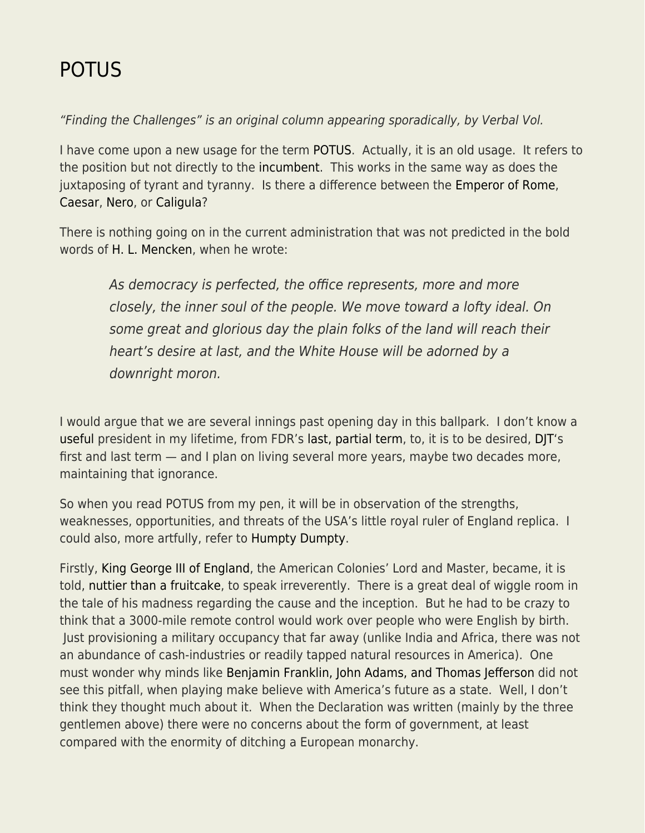## [POTUS](https://everything-voluntary.com/potus)

"Finding the Challenges" is an original column appearing sporadically, by Verbal Vol.

I have come upon a new usage for the term [POTUS.](http://www.potus.com/) Actually, it is an old usage. It refers to the position but not directly to the [incumbent.](http://www.dictionary.com/browse/incumbent) This works in the same way as does the juxtaposing of tyrant and tyranny. Is there a difference between the [Emperor of Rome](https://en.wikipedia.org/wiki/Roman_emperor), [Caesar](https://en.wikipedia.org/wiki/Julius_Caesar), [Nero,](https://en.wikipedia.org/wiki/Nero) or [Caligula?](https://en.wikipedia.org/wiki/Caligula)

There is nothing going on in the current administration that was not predicted in the bold words of [H. L. Mencken,](http://www.mencken.org/wordpress/) when he wrote:

As democracy is perfected, the office represents, more and more closely, the inner soul of the people. We move toward a lofty ideal. On some great and glorious day the plain folks of the land will reach their heart's desire at last, and the White House will be adorned by a downright moron.

I would argue that we are several innings past opening day in this ballpark. I don't know a [useful](https://www.google.com/search?q=useful&oq=useful&aqs=chrome..69i57&sourceid=chrome&ie=UTF-8) president in my lifetime, from FDR's [last, partial term](https://goinggentleintothatgoodnight.com/2015/12/27/profiles-in-dementia-franklin-d-roosevelt-1882-1945/), to, it is to be desired, [DJT'](https://www.google.com/url?sa=t&rct=j&q=&esrc=s&source=web&cd=1&cad=rja&uact=8&ved=0ahUKEwj-jMr5grTSAhXqy4MKHUfGAh4QqUMIHDAA&url=http%3A%2F%2Fwww.huffingtonpost.com%2Fentry%2Fdonald-trump-ryan-owens-seal-raid_us_58b58852e4b0780bac2d58c6&usg=AFQjCNGqNGohz5Xoc_Wxa5NaRDEOQTjM2g&sig2=zO-YlZsUgM9PiuYlSYUmKw&bvm=bv.148073327,d.amc)s first and last term — and I plan on living several more years, maybe two decades more, maintaining that ignorance.

So when you read POTUS from my pen, it will be in observation of the strengths, weaknesses, opportunities, and threats of the USA's little royal ruler of England replica. I could also, more artfully, refer to [Humpty Dumpty](http://sabian.org/looking_glass6.php).

Firstly, [King George III of England](https://www.royal.uk/george-iii-r-1760-1820), the American Colonies' Lord and Master, became, it is told, [nuttier than a fruitcake,](http://www.bbc.com/news/magazine-22122407) to speak irreverently. There is a great deal of wiggle room in the tale of his madness regarding the cause and the inception. But he had to be crazy to think that a 3000-mile remote control would work over people who were English by birth. Just provisioning a military occupancy that far away (unlike India and Africa, there was not an abundance of cash-industries or readily tapped natural resources in America). One must wonder why minds like [Benjamin Franklin, John Adams, and Thomas Jefferson](http://www.history.com/topics/american-revolution/declaration-of-independence) did not see this pitfall, when playing make believe with America's future as a state. Well, I don't think they thought much about it. When the Declaration was written (mainly by the three gentlemen above) there were no concerns about the form of government, at least compared with the enormity of ditching a European monarchy.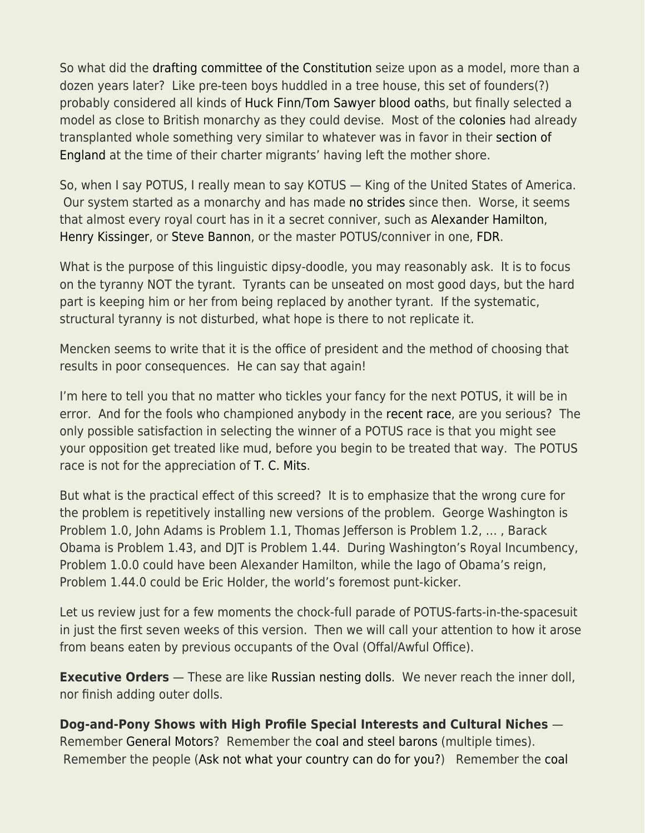So what did the [drafting committee of the Constitution](https://en.wikipedia.org/wiki/Committee_of_Detail) seize upon as a model, more than a dozen years later? Like pre-teen boys huddled in a tree house, this set of founders(?) probably considered all kinds of [Huck Finn/](http://twain.lib.virginia.edu/huckfinn/huchompg.html)[Tom Sawyer](https://www.gutenberg.org/files/74/74-h/74-h.htm) [blood oaths](https://www.merriam-webster.com/dictionary/blood%20oath), but finally selected a model as close to British monarchy as they could devise. Most of the [colonies](http://www.history.com/topics/thirteen-colonies) had already transplanted whole something very similar to whatever was in favor in their [section of](https://www.apstudynotes.org/us-history/topics/the-first-english-settlements/) [England](https://www.apstudynotes.org/us-history/topics/the-first-english-settlements/) at the time of their charter migrants' having left the mother shore.

So, when I say POTUS, I really mean to say KOTUS — King of the United States of America. Our system started as a monarchy and has made [no strides](https://www.amazon.com/Imperial-Presidency-Jr-Arthur-Schlesinger/dp/0618420010) since then. Worse, it seems that almost every royal court has in it a secret conniver, such as [Alexander Hamilton](https://www.amazon.com/Alexander-Hamilton-Ron-Chernow/dp/0143034758), [Henry Kissinger,](http://www.alternet.org/world/top-10-most-inhuman-henry-kissinger-quotes) or [Steve Bannon](http://www.cosmopolitan.com/politics/a8288455/who-is-steve-bannon-trump-chief-strategist/), or the master POTUS/conniver in one, [FDR.](https://www.democracynow.org/2017/2/22/let_us_save_every_future_anne)

What is the purpose of this linguistic dipsy-doodle, you may reasonably ask. It is to focus on the tyranny NOT the tyrant. Tyrants can be unseated on most good days, but the hard part is keeping him or her from being replaced by another tyrant. If the systematic, structural tyranny is not disturbed, what hope is there to not replicate it.

Mencken seems to write that it is the office of president and the method of choosing that results in poor consequences. He can say that again!

I'm here to tell you that no matter who tickles your fancy for the next POTUS, it will be in error. And for the fools who championed anybody in the [recent race,](https://en.wikipedia.org/wiki/United_States_presidential_election,_2016) are you serious? The only possible satisfaction in selecting the winner of a POTUS race is that you might see your opposition get treated like mud, before you begin to be treated that way. The POTUS race is not for the appreciation of [T. C. Mits](https://en.wikipedia.org/wiki/T.C._Mits).

But what is the practical effect of this screed? It is to emphasize that the wrong cure for the problem is repetitively installing new versions of the problem. George Washington is Problem 1.0, John Adams is Problem 1.1, Thomas Jefferson is Problem 1.2, … , Barack Obama is Problem 1.43, and DJT is Problem 1.44. During Washington's Royal Incumbency, Problem 1.0.0 could have been Alexander Hamilton, while the Iago of Obama's reign, Problem 1.44.0 could be Eric Holder, the world's foremost punt-kicker.

Let us review just for a few moments the chock-full parade of POTUS-farts-in-the-spacesuit in just the first seven weeks of this version. Then we will call your attention to how it arose from beans eaten by previous occupants of the Oval (Offal/Awful Office).

**Executive Orders** — These are like [Russian nesting dolls.](http://gls36art.weebly.com/uploads/4/3/2/8/43282587/5964607_orig.jpg) We never reach the inner doll, nor finish adding outer dolls.

## **Dog-and-Pony Shows with High Profile Special Interests and Cultural Niches** —

Remember [General Motors?](http://www.reuters.com/article/us-autos-gm-treasury-idUSBREA3T0MR20140430) Remember the [coal and steel barons](http://www.historyisaweapon.com/defcon1/zinnbaron11.html) (multiple times). Remember the people ([Ask not what your country can do for you?](http://www.ushistory.org/documents/ask-not.htm)) Remember the [coal](https://www.wyzant.com/resources/answers/11285/how_did_president_truman_deal_with_strikers_in_the_steel_and_mining_indusries)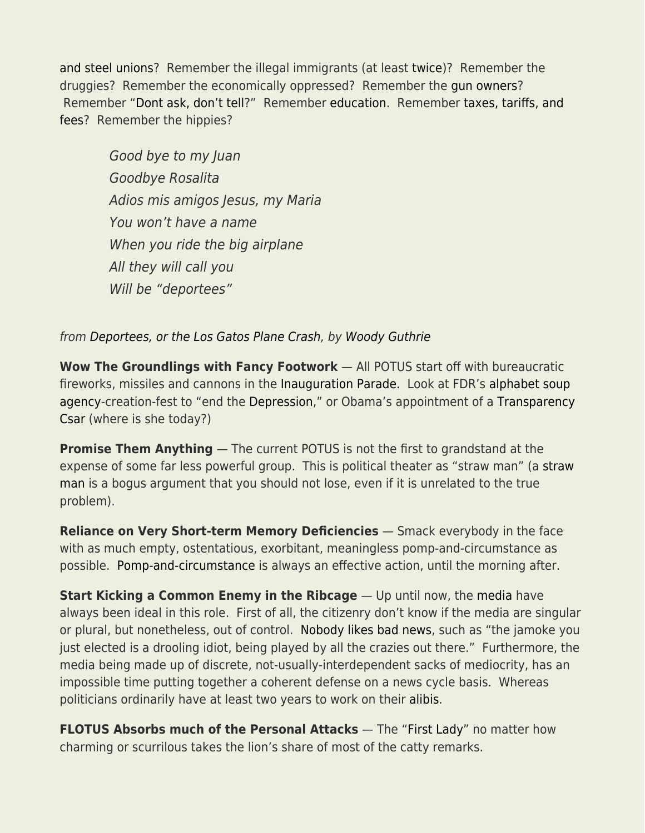[and steel unions?](https://www.wyzant.com/resources/answers/11285/how_did_president_truman_deal_with_strikers_in_the_steel_and_mining_indusries) Remember the illegal immigrants (at least [twice](http://www.reuters.com/article/us-usa-trump-immigration-idUSKBN1591HP))? Remember the druggies? Remember the economically oppressed? Remember the [gun owners](https://www.gunowners.org/)? Remember "[Dont ask, don't tell?](https://en.wikipedia.org/wiki/Don)" Remember [education.](https://www.ed.gov/) Remember [taxes, tariffs, and](http://www.center-forward.org/wp-content/uploads/2012/04/Budget-Basics-Revenues-03-12-update-2.pdf) [fees](http://www.center-forward.org/wp-content/uploads/2012/04/Budget-Basics-Revenues-03-12-update-2.pdf)? Remember the hippies?

Good bye to my Juan Goodbye Rosalita Adios mis amigos Jesus, my Maria You won't have a name When you ride the big airplane All they will call you Will be "deportees"

from [Deportees, or the Los Gatos Plane Crash,](https://www.youtube.com/watch?v=F8lRf6fATWE) by [Woody Guthrie](http://www.woodyguthrie.org/)

**Wow The Groundlings with Fancy Footwork** — All POTUS start off with bureaucratic fireworks, missiles and cannons in the [Inauguration Parade.](https://www.inaugural.senate.gov/days-events/inaugural-parade/) Look at FDR's [alphabet soup](https://www.britannica.com/list/7-alphabet-soup-agencies-that-stuck-around) [agency-](https://www.britannica.com/list/7-alphabet-soup-agencies-that-stuck-around)creation-fest to "end the [Depression](http://www.history.com/topics/great-depression)," or Obama's appointment of a [Transparency](http://www.slate.com/articles/news_and_politics/politics/2013/03/barack_obama_promised_transparency_the_white_house_is_as_opaque_secretive.html) [Csar](http://www.slate.com/articles/news_and_politics/politics/2013/03/barack_obama_promised_transparency_the_white_house_is_as_opaque_secretive.html) (where is she today?)

**Promise Them Anything** — The current POTUS is not the first to grandstand at the expense of some far less powerful group. This is political theater as "straw man" (a [straw](https://yourlogicalfallacyis.com/strawman) [man](https://yourlogicalfallacyis.com/strawman) is a bogus argument that you should not lose, even if it is unrelated to the true problem).

**Reliance on Very Short-term Memory Deficiencies** — Smack everybody in the face with as much empty, ostentatious, exorbitant, meaningless pomp-and-circumstance as possible. [Pomp-and-circumstance](https://web.archive.org/web/20170710050751/http://www.word-detective.com:80/2010/11/pomp-and-circumstance) is always an effective action, until the morning after.

**Start Kicking a Common Enemy in the Ribcage** — Up until now, the [media](http://www.ipsnews.net/2017/01/for-trump-media-is-public-enemy-number-one/) have always been ideal in this role. First of all, the citizenry don't know if the media are singular or plural, but nonetheless, out of control. [Nobody likes bad news,](http://www.azquotes.com/picture-quotes/quote-nobody-likes-the-man-who-brings-bad-news-sophocles-68-34-93.jpg) such as "the jamoke you just elected is a drooling idiot, being played by all the crazies out there." Furthermore, the media being made up of discrete, not-usually-interdependent sacks of mediocrity, has an impossible time putting together a coherent defense on a news cycle basis. Whereas politicians ordinarily have at least two years to work on their [alibis.](http://www.dictionary.com/browse/alibi)

**FLOTUS Absorbs much of the Personal Attacks** — The ["First Lady"](http://www.todayifoundout.com/index.php/2013/02/the-first-first-lady/) no matter how charming or scurrilous takes the lion's share of most of the catty remarks.